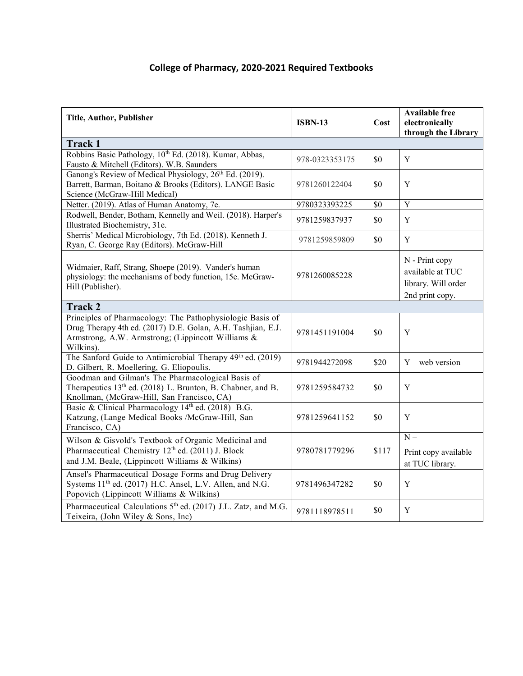## **College of Pharmacy, 2020-2021 Required Textbooks**

| Title, Author, Publisher                                                                                                                                                                   | <b>ISBN-13</b> | Cost  | <b>Available free</b><br>electronically<br>through the Library               |  |
|--------------------------------------------------------------------------------------------------------------------------------------------------------------------------------------------|----------------|-------|------------------------------------------------------------------------------|--|
| Track 1                                                                                                                                                                                    |                |       |                                                                              |  |
| Robbins Basic Pathology, 10th Ed. (2018). Kumar, Abbas,<br>Fausto & Mitchell (Editors). W.B. Saunders                                                                                      | 978-0323353175 | \$0   | $\mathbf Y$                                                                  |  |
| Ganong's Review of Medical Physiology, 26 <sup>th</sup> Ed. (2019).<br>Barrett, Barman, Boitano & Brooks (Editors). LANGE Basic<br>Science (McGraw-Hill Medical)                           | 9781260122404  | \$0   | Y                                                                            |  |
| Netter. (2019). Atlas of Human Anatomy, 7e.                                                                                                                                                | 9780323393225  | \$0   | $\overline{Y}$                                                               |  |
| Rodwell, Bender, Botham, Kennelly and Weil. (2018). Harper's<br>Illustrated Biochemistry, 31e.                                                                                             | 9781259837937  | \$0   | $\mathbf Y$                                                                  |  |
| Sherris' Medical Microbiology, 7th Ed. (2018). Kenneth J.<br>Ryan, C. George Ray (Editors). McGraw-Hill                                                                                    | 9781259859809  | \$0   | Y                                                                            |  |
| Widmaier, Raff, Strang, Shoepe (2019). Vander's human<br>physiology: the mechanisms of body function, 15e. McGraw-<br>Hill (Publisher).                                                    | 9781260085228  |       | N - Print copy<br>available at TUC<br>library. Will order<br>2nd print copy. |  |
| <b>Track 2</b>                                                                                                                                                                             |                |       |                                                                              |  |
| Principles of Pharmacology: The Pathophysiologic Basis of<br>Drug Therapy 4th ed. (2017) D.E. Golan, A.H. Tashjian, E.J.<br>Armstrong, A.W. Armstrong; (Lippincott Williams &<br>Wilkins). | 9781451191004  | \$0   | Y                                                                            |  |
| The Sanford Guide to Antimicrobial Therapy 49th ed. (2019)<br>D. Gilbert, R. Moellering, G. Eliopoulis.                                                                                    | 9781944272098  | \$20  | $Y$ – web version                                                            |  |
| Goodman and Gilman's The Pharmacological Basis of<br>Therapeutics 13 <sup>th</sup> ed. (2018) L. Brunton, B. Chabner, and B.<br>Knollman, (McGraw-Hill, San Francisco, CA)                 | 9781259584732  | \$0   | $\mathbf Y$                                                                  |  |
| Basic & Clinical Pharmacology 14th ed. (2018) B.G.<br>Katzung, (Lange Medical Books /McGraw-Hill, San<br>Francisco, CA)                                                                    | 9781259641152  | \$0   | Y                                                                            |  |
| Wilson & Gisvold's Textbook of Organic Medicinal and<br>Pharmaceutical Chemistry 12 <sup>th</sup> ed. (2011) J. Block<br>and J.M. Beale, (Lippincott Williams & Wilkins)                   | 9780781779296  | \$117 | $N -$<br>Print copy available<br>at TUC library.                             |  |
| Ansel's Pharmaceutical Dosage Forms and Drug Delivery<br>Systems 11 <sup>th</sup> ed. (2017) H.C. Ansel, L.V. Allen, and N.G.<br>Popovich (Lippincott Williams & Wilkins)                  | 9781496347282  | \$0   | Y                                                                            |  |
| Pharmaceutical Calculations 5 <sup>th</sup> ed. (2017) J.L. Zatz, and M.G.<br>Teixeira, (John Wiley & Sons, Inc)                                                                           | 9781118978511  | \$0   | $\mathbf Y$                                                                  |  |